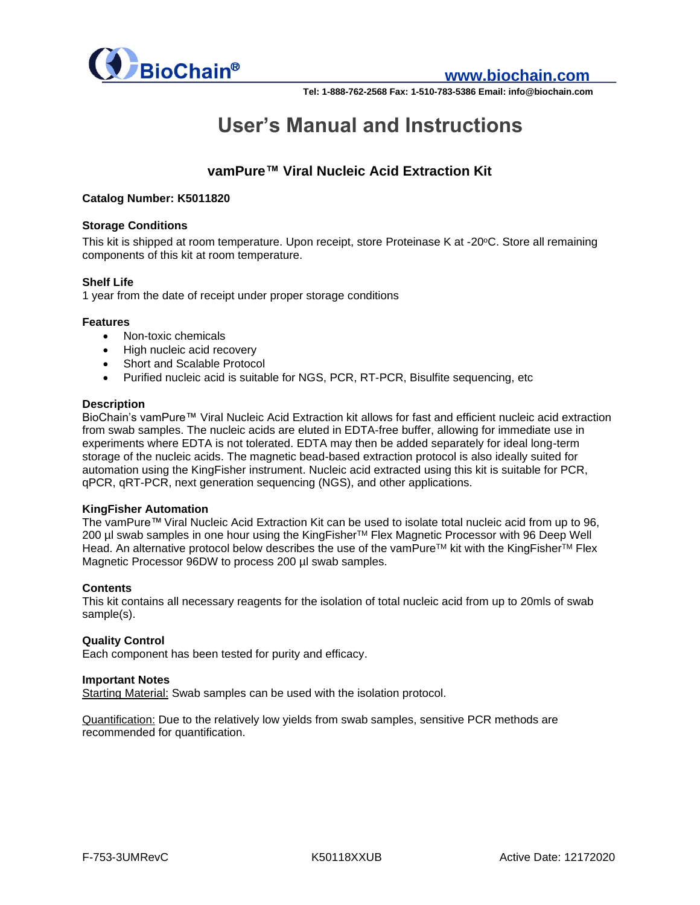

# **www.biochain.com**

**Tel: 1-888-762-2568 Fax: 1-510-783-5386 Email: info@biochain.com**

# **User's Manual and Instructions**

# **vamPure™ Viral Nucleic Acid Extraction Kit**

#### **Catalog Number: K5011820**

#### **Storage Conditions**

This kit is shipped at room temperature. Upon receipt, store Proteinase K at -20°C. Store all remaining components of this kit at room temperature.

#### **Shelf Life**

1 year from the date of receipt under proper storage conditions

#### **Features**

- Non-toxic chemicals
- High nucleic acid recovery
- Short and Scalable Protocol
- Purified nucleic acid is suitable for NGS, PCR, RT-PCR, Bisulfite sequencing, etc

#### **Description**

BioChain's vamPure™ Viral Nucleic Acid Extraction kit allows for fast and efficient nucleic acid extraction from swab samples. The nucleic acids are eluted in EDTA-free buffer, allowing for immediate use in experiments where EDTA is not tolerated. EDTA may then be added separately for ideal long-term storage of the nucleic acids. The magnetic bead-based extraction protocol is also ideally suited for automation using the KingFisher instrument. Nucleic acid extracted using this kit is suitable for PCR, qPCR, qRT-PCR, next generation sequencing (NGS), and other applications.

#### **KingFisher Automation**

The vamPure™ Viral Nucleic Acid Extraction Kit can be used to isolate total nucleic acid from up to 96, 200 µl swab samples in one hour using the KingFisher™ Flex Magnetic Processor with 96 Deep Well Head. An alternative protocol below describes the use of the vamPure™ kit with the KingFisher™ Flex Magnetic Processor 96DW to process 200 µl swab samples.

#### **Contents**

This kit contains all necessary reagents for the isolation of total nucleic acid from up to 20mls of swab sample(s).

#### **Quality Control**

Each component has been tested for purity and efficacy.

#### **Important Notes**

Starting Material: Swab samples can be used with the isolation protocol.

Quantification: Due to the relatively low yields from swab samples, sensitive PCR methods are recommended for quantification.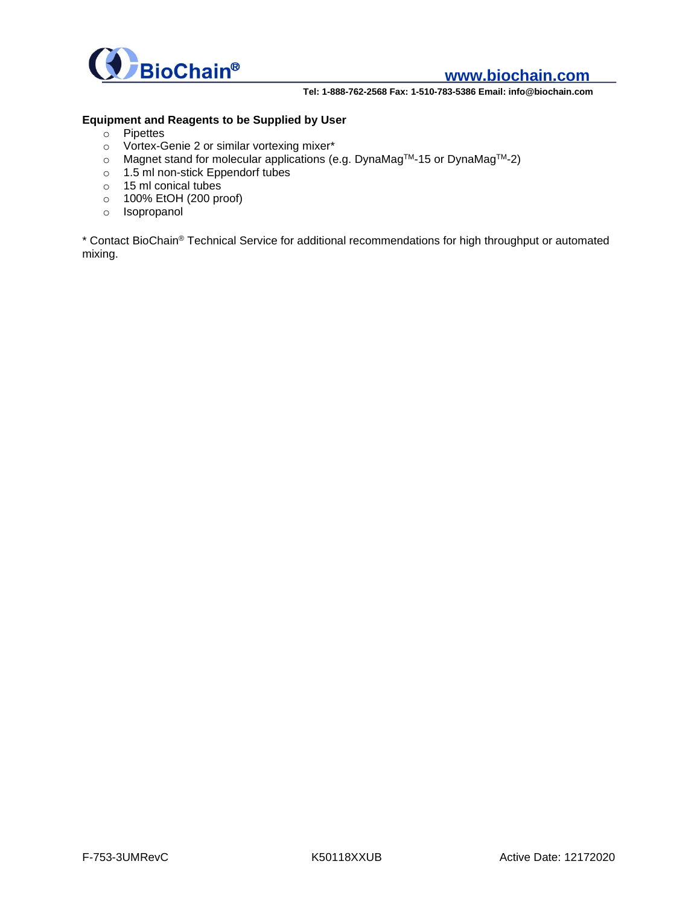

# **www.biochain.com**

**Tel: 1-888-762-2568 Fax: 1-510-783-5386 Email: info@biochain.com**

#### **Equipment and Reagents to be Supplied by User**

- o Pipettes
- o Vortex-Genie 2 or similar vortexing mixer\*
- o Magnet stand for molecular applications (e.g. DynaMagTM-15 or DynaMagTM-2)
- o 1.5 ml non-stick Eppendorf tubes
- o 15 ml conical tubes
- o 100% EtOH (200 proof)
- o Isopropanol

\* Contact BioChain® Technical Service for additional recommendations for high throughput or automated mixing.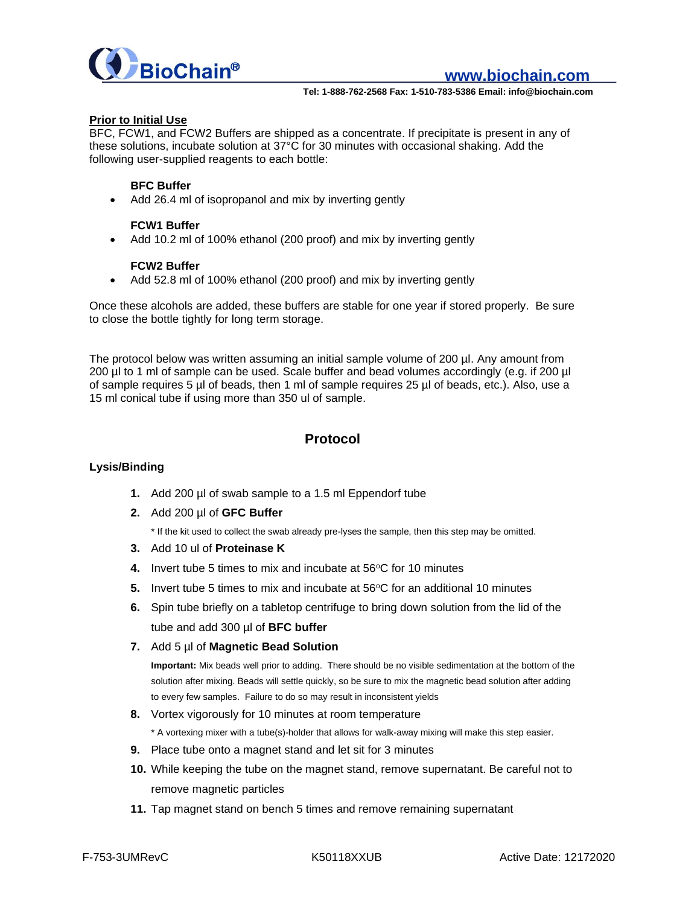

**Tel: 1-888-762-2568 Fax: 1-510-783-5386 Email: info@biochain.com**

#### **Prior to Initial Use**

BFC, FCW1, and FCW2 Buffers are shipped as a concentrate. If precipitate is present in any of these solutions, incubate solution at 37°C for 30 minutes with occasional shaking. Add the following user-supplied reagents to each bottle:

#### **BFC Buffer**

Add 26.4 ml of isopropanol and mix by inverting gently

#### **FCW1 Buffer**

Add 10.2 ml of 100% ethanol (200 proof) and mix by inverting gently

#### **FCW2 Buffer**

• Add 52.8 ml of 100% ethanol (200 proof) and mix by inverting gently

Once these alcohols are added, these buffers are stable for one year if stored properly. Be sure to close the bottle tightly for long term storage.

The protocol below was written assuming an initial sample volume of 200 µl. Any amount from 200 µl to 1 ml of sample can be used. Scale buffer and bead volumes accordingly (e.g. if 200 µl of sample requires 5 µl of beads, then 1 ml of sample requires 25 µl of beads, etc.). Also, use a 15 ml conical tube if using more than 350 ul of sample.

### **Protocol**

#### **Lysis/Binding**

- **1.** Add 200 µl of swab sample to a 1.5 ml Eppendorf tube
- **2.** Add 200 µl of **GFC Buffer**

\* If the kit used to collect the swab already pre-lyses the sample, then this step may be omitted.

- **3.** Add 10 ul of **Proteinase K**
- **4.** Invert tube 5 times to mix and incubate at 56°C for 10 minutes
- **5.** Invert tube 5 times to mix and incubate at 56°C for an additional 10 minutes
- **6.** Spin tube briefly on a tabletop centrifuge to bring down solution from the lid of the tube and add 300 µl of **BFC buffer**
- **7.** Add 5 µl of **Magnetic Bead Solution**

**Important:** Mix beads well prior to adding. There should be no visible sedimentation at the bottom of the solution after mixing. Beads will settle quickly, so be sure to mix the magnetic bead solution after adding to every few samples. Failure to do so may result in inconsistent yields

- **8.** Vortex vigorously for 10 minutes at room temperature
- \* A vortexing mixer with a tube(s)-holder that allows for walk-away mixing will make this step easier.
- **9.** Place tube onto a magnet stand and let sit for 3 minutes
- **10.** While keeping the tube on the magnet stand, remove supernatant. Be careful not to remove magnetic particles
- **11.** Tap magnet stand on bench 5 times and remove remaining supernatant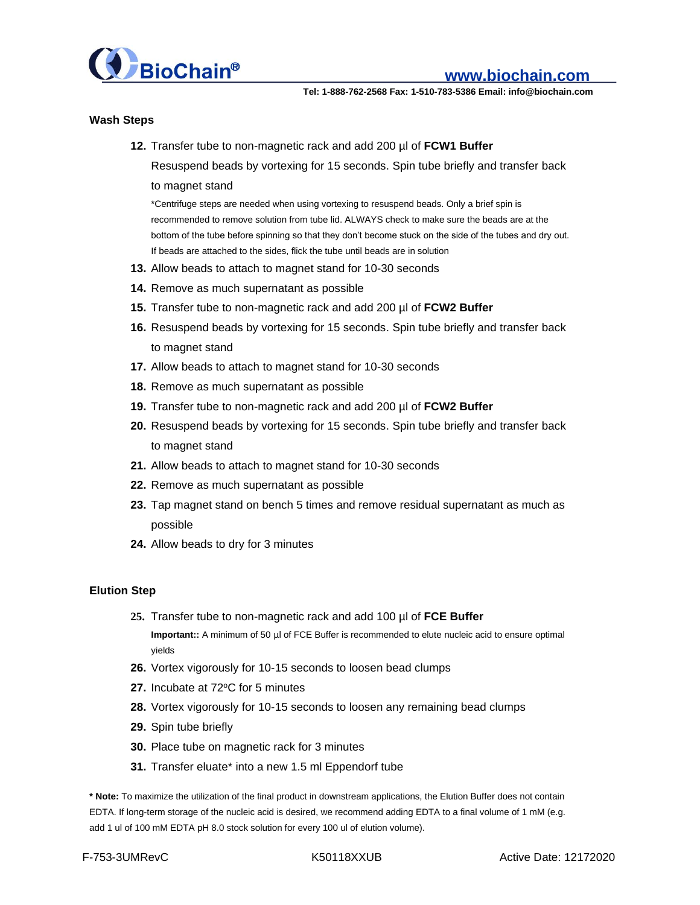

**Tel: 1-888-762-2568 Fax: 1-510-783-5386 Email: info@biochain.com**

#### **Wash Steps**

**12.** Transfer tube to non-magnetic rack and add 200 µl of **FCW1 Buffer**

Resuspend beads by vortexing for 15 seconds. Spin tube briefly and transfer back to magnet stand

\*Centrifuge steps are needed when using vortexing to resuspend beads. Only a brief spin is recommended to remove solution from tube lid. ALWAYS check to make sure the beads are at the bottom of the tube before spinning so that they don't become stuck on the side of the tubes and dry out. If beads are attached to the sides, flick the tube until beads are in solution

- **13.** Allow beads to attach to magnet stand for 10-30 seconds
- **14.** Remove as much supernatant as possible
- **15.** Transfer tube to non-magnetic rack and add 200 µl of **FCW2 Buffer**
- **16.** Resuspend beads by vortexing for 15 seconds. Spin tube briefly and transfer back to magnet stand
- **17.** Allow beads to attach to magnet stand for 10-30 seconds
- **18.** Remove as much supernatant as possible
- **19.** Transfer tube to non-magnetic rack and add 200 µl of **FCW2 Buffer**
- **20.** Resuspend beads by vortexing for 15 seconds. Spin tube briefly and transfer back to magnet stand
- **21.** Allow beads to attach to magnet stand for 10-30 seconds
- **22.** Remove as much supernatant as possible
- **23.** Tap magnet stand on bench 5 times and remove residual supernatant as much as possible
- **24.** Allow beads to dry for 3 minutes

#### **Elution Step**

**25.** Transfer tube to non-magnetic rack and add 100 µl of **FCE Buffer Important::** A minimum of 50 µl of FCE Buffer is recommended to elute nucleic acid to ensure optimal

yields

- **26.** Vortex vigorously for 10-15 seconds to loosen bead clumps
- **27.** Incubate at 72°C for 5 minutes
- **28.** Vortex vigorously for 10-15 seconds to loosen any remaining bead clumps
- **29.** Spin tube briefly
- **30.** Place tube on magnetic rack for 3 minutes
- **31.** Transfer eluate\* into a new 1.5 ml Eppendorf tube

**\* Note:** To maximize the utilization of the final product in downstream applications, the Elution Buffer does not contain EDTA. If long-term storage of the nucleic acid is desired, we recommend adding EDTA to a final volume of 1 mM (e.g. add 1 ul of 100 mM EDTA pH 8.0 stock solution for every 100 ul of elution volume).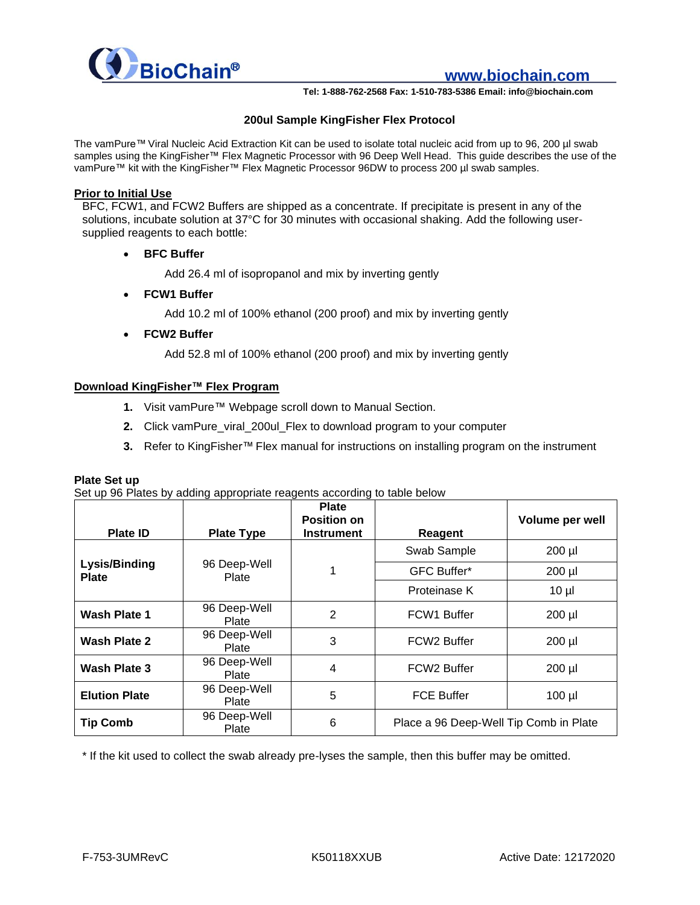

**www.biochain.com**

**Tel: 1-888-762-2568 Fax: 1-510-783-5386 Email: info@biochain.com**

#### **200ul Sample KingFisher Flex Protocol**

The vamPure™ Viral Nucleic Acid Extraction Kit can be used to isolate total nucleic acid from up to 96, 200 µl swab samples using the KingFisher™ Flex Magnetic Processor with 96 Deep Well Head. This guide describes the use of the vamPure™ kit with the KingFisher™ Flex Magnetic Processor 96DW to process 200 µl swab samples.

#### **Prior to Initial Use**

BFC, FCW1, and FCW2 Buffers are shipped as a concentrate. If precipitate is present in any of the solutions, incubate solution at 37°C for 30 minutes with occasional shaking. Add the following usersupplied reagents to each bottle:

• **BFC Buffer**

Add 26.4 ml of isopropanol and mix by inverting gently

• **FCW1 Buffer**

Add 10.2 ml of 100% ethanol (200 proof) and mix by inverting gently

• **FCW2 Buffer**

Add 52.8 ml of 100% ethanol (200 proof) and mix by inverting gently

#### **Download KingFisher™ Flex Program**

- **1.** Visit vamPure™ Webpage scroll down to Manual Section.
- **2.** Click vamPure\_viral\_200ul\_Flex to download program to your computer
- **3.** Refer to KingFisher™ Flex manual for instructions on installing program on the instrument

#### **Plate Set up**

Set up 96 Plates by adding appropriate reagents according to table below

|                               |                       | <b>Plate</b><br><b>Position on</b> |                                        | Volume per well |
|-------------------------------|-----------------------|------------------------------------|----------------------------------------|-----------------|
| <b>Plate ID</b>               | <b>Plate Type</b>     | <b>Instrument</b>                  | Reagent                                |                 |
|                               |                       |                                    | Swab Sample                            | 200 µl          |
| Lysis/Binding<br><b>Plate</b> | 96 Deep-Well<br>Plate |                                    | <b>GFC Buffer*</b>                     | 200 µl          |
|                               |                       |                                    | Proteinase K                           | $10 \mu$        |
| <b>Wash Plate 1</b>           | 96 Deep-Well<br>Plate | $\overline{2}$                     | FCW1 Buffer                            | $200$ $\mu$     |
| Wash Plate 2                  | 96 Deep-Well<br>Plate | 3                                  | FCW <sub>2</sub> Buffer                | $200$ $\mu$     |
| Wash Plate 3                  | 96 Deep-Well<br>Plate | 4                                  | FCW <sub>2</sub> Buffer                | 200 µl          |
| <b>Elution Plate</b>          | 96 Deep-Well<br>Plate | 5                                  | <b>FCE Buffer</b><br>$100$ $\mu$       |                 |
| <b>Tip Comb</b>               | 96 Deep-Well<br>Plate | 6                                  | Place a 96 Deep-Well Tip Comb in Plate |                 |

\* If the kit used to collect the swab already pre-lyses the sample, then this buffer may be omitted.